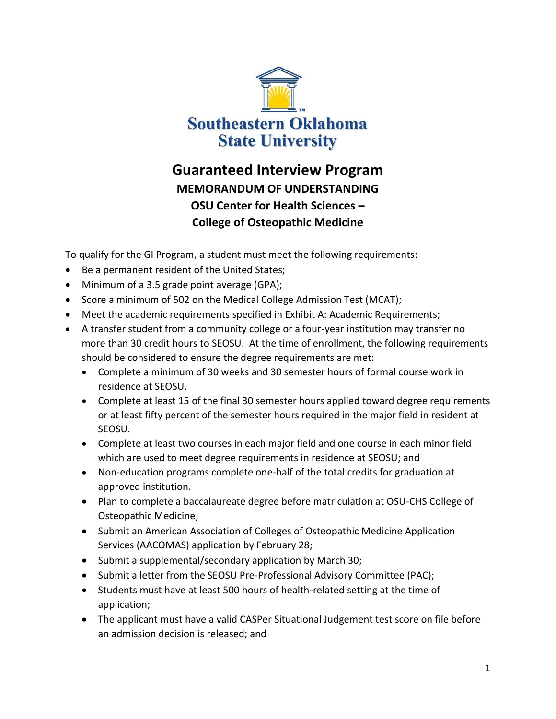

## **Guaranteed Interview Program MEMORANDUM OF UNDERSTANDING OSU Center for Health Sciences – College of Osteopathic Medicine**

To qualify for the GI Program, a student must meet the following requirements:

- Be a permanent resident of the United States;
- Minimum of a 3.5 grade point average (GPA);
- Score a minimum of 502 on the Medical College Admission Test (MCAT);
- Meet the academic requirements specified in Exhibit A: Academic Requirements;
- A transfer student from a community college or a four-year institution may transfer no more than 30 credit hours to SEOSU. At the time of enrollment, the following requirements should be considered to ensure the degree requirements are met:
	- Complete a minimum of 30 weeks and 30 semester hours of formal course work in residence at SEOSU.
	- Complete at least 15 of the final 30 semester hours applied toward degree requirements or at least fifty percent of the semester hours required in the major field in resident at SEOSU.
	- Complete at least two courses in each major field and one course in each minor field which are used to meet degree requirements in residence at SEOSU; and
	- Non-education programs complete one-half of the total credits for graduation at approved institution.
	- Plan to complete a baccalaureate degree before matriculation at OSU-CHS College of Osteopathic Medicine;
	- Submit an American Association of Colleges of Osteopathic Medicine Application Services (AACOMAS) application by February 28;
	- Submit a supplemental/secondary application by March 30;
	- Submit a letter from the SEOSU Pre-Professional Advisory Committee (PAC);
	- Students must have at least 500 hours of health-related setting at the time of application;
	- The applicant must have a valid CASPer Situational Judgement test score on file before an admission decision is released; and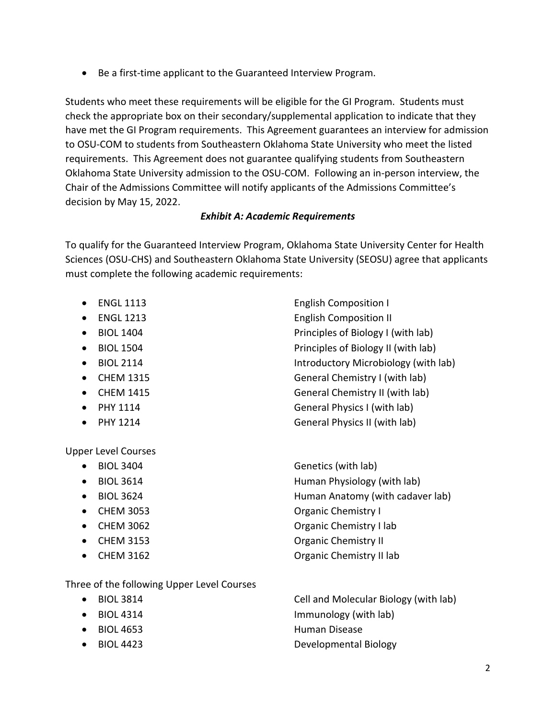• Be a first-time applicant to the Guaranteed Interview Program.

Students who meet these requirements will be eligible for the GI Program. Students must check the appropriate box on their secondary/supplemental application to indicate that they have met the GI Program requirements. This Agreement guarantees an interview for admission to OSU-COM to students from Southeastern Oklahoma State University who meet the listed requirements. This Agreement does not guarantee qualifying students from Southeastern Oklahoma State University admission to the OSU-COM. Following an in-person interview, the Chair of the Admissions Committee will notify applicants of the Admissions Committee's decision by May 15, 2022.

## *Exhibit A: Academic Requirements*

To qualify for the Guaranteed Interview Program, Oklahoma State University Center for Health Sciences (OSU-CHS) and Southeastern Oklahoma State University (SEOSU) agree that applicants must complete the following academic requirements:

- ENGL 1113 **English Composition I**
- 
- 
- 
- 
- 
- 
- 
- 

Upper Level Courses

- 
- 
- 
- 
- 
- 
- 

• ENGL 1213 **English Composition II** • BIOL 1404 **Principles of Biology I** (with lab) • BIOL 1504 **Principles of Biology II** (with lab) • BIOL 2114 **Introductory Microbiology (with lab)** • CHEM 1315 General Chemistry I (with lab) • CHEM 1415 General Chemistry II (with lab) • PHY 1114 General Physics I (with lab) • PHY 1214 General Physics II (with lab)

• BIOL 3404 Genetics (with lab) • BIOL 3614 **Human Physiology (with lab)** • BIOL 3624 **Human Anatomy (with cadaver lab)** • CHEM 3053 **Organic Chemistry I** • CHEM 3062 **Organic Chemistry I lab** • CHEM 3153 **Organic Chemistry II** • CHEM 3162 Organic Chemistry II lab

Three of the following Upper Level Courses

- 
- 
- 
- 

• BIOL 3814 Cell and Molecular Biology (with lab) • BIOL 4314 Immunology (with lab) • BIOL 4653 Human Disease • BIOL 4423 Developmental Biology